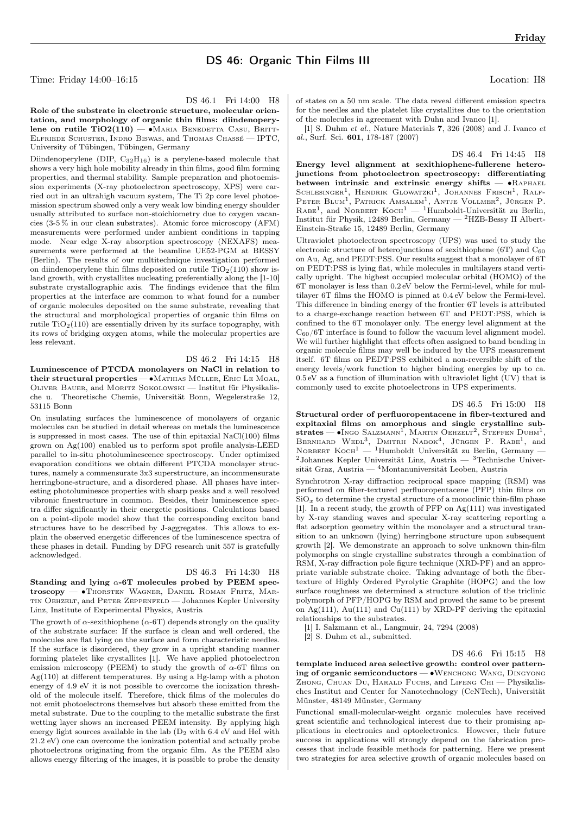## DS 46: Organic Thin Films III

Time: Friday 14:00–16:15 Location: H8

Friday

DS 46.1 Fri 14:00 H8

Role of the substrate in electronic structure, molecular orientation, and morphology of organic thin films: diindenoperylene on rutile  $TiO2(110)$  — •Maria Benedetta Casu, Britt-Elfriede Schuster, Indro Biswas, and Thomas Chassé — IPTC, University of Tübingen, Tübingen, Germany

Diindenoperylene (DIP,  $C_{32}H_{16}$ ) is a perylene-based molecule that shows a very high hole mobility already in thin films, good film forming properties, and thermal stability. Sample preparation and photoemission experiments (X-ray photoelectron spectroscopy, XPS) were carried out in an ultrahigh vacuum system, The Ti 2p core level photoemission spectrum showed only a very weak low binding energy shoulder usually attributed to surface non-stoichiometry due to oxygen vacancies (3-5 % in our clean substrates). Atomic force microscopy (AFM) measurements were performed under ambient conditions in tapping mode. Near edge X-ray absorption spectroscopy (NEXAFS) measurements were performed at the beamline UE52-PGM at BESSY (Berlin). The results of our multitechnique investigation performed on diindenoperylene thin films deposited on rutile  $TiO<sub>2</sub>(110)$  show island growth, with crystallites nucleating preferentially along the [1-10] substrate crystallographic axis. The findings evidence that the film properties at the interface are common to what found for a number of organic molecules deposited on the same substrate, revealing that the structural and morphological properties of organic thin films on rutile  $TiO<sub>2</sub>(110)$  are essentially driven by its surface topography, with its rows of bridging oxygen atoms, while the molecular properties are less relevant.

DS 46.2 Fri 14:15 H8

Luminescence of PTCDA monolayers on NaCl in relation to their structural properties — ∙Mathias Müller, Eric Le Moal, Oliver Bauer, and Moritz Sokolowski — Institut für Physikalische u. Theoretische Chemie, Universität Bonn, Wegelerstraße 12, 53115 Bonn

On insulating surfaces the luminescence of monolayers of organic molecules can be studied in detail whereas on metals the luminescence is suppressed in most cases. The use of thin epitaxial NaCl(100) films grown on Ag(100) enabled us to perform spot profile analysis-LEED parallel to in-situ photoluminescence spectroscopy. Under optimized evaporation conditions we obtain different PTCDA monolayer structures, namely a commensurate 3x3 superstructure, an incommensurate herringbone-structure, and a disordered phase. All phases have interesting photoluminesce properties with sharp peaks and a well resolved vibronic finestructure in common. Besides, their luminescence spectra differ significantly in their energetic positions. Calculations based on a point-dipole model show that the corresponding exciton band structures have to be described by J-aggregates. This allows to explain the observed energetic differences of the luminescence spectra of these phases in detail. Funding by DFG research unit 557 is gratefully acknowledged.

DS 46.3 Fri 14:30 H8 Standing and lying  $\alpha$ -6T molecules probed by PEEM spectroscopy — ∙Thorsten Wagner, Daniel Roman Fritz, Martin Oehzelt, and Peter Zeppenfeld — Johannes Kepler University Linz, Institute of Experimental Physics, Austria

The growth of  $\alpha$ -sexithiophene ( $\alpha$ -6T) depends strongly on the quality of the substrate surface: If the surface is clean and well ordered, the molecules are flat lying on the surface and form characteristic needles. If the surface is disordered, they grow in a upright standing manner forming platelet like crystallites [1]. We have applied photoelectron emission microscopy (PEEM) to study the growth of  $\alpha$ -6T films on  $Ag(110)$  at different temperatures. By using a Hg-lamp with a photon energy of 4.9 eV it is not possible to overcome the ionization threshold of the molecule itself. Therefore, thick films of the molecules do not emit photoelectrons themselves but absorb these emitted from the metal substrate. Due to the coupling to the metallic substrate the first wetting layer shows an increased PEEM intensity. By applying high energy light sources available in the lab (D<sup>2</sup> with 6.4 eV and HeI with 21.2 eV) one can overcome the ionization potential and actually probe photoelectrons originating from the organic film. As the PEEM also allows energy filtering of the images, it is possible to probe the density

of states on a 50 nm scale. The data reveal different emission spectra for the needles and the platelet like crystallites due to the orientation of the molecules in agreement with Duhn and Ivanco [1].

[1] S. Duhm et al., Nature Materials 7, 326 (2008) and J. Ivanco et al., Surf. Sci. 601, 178-187 (2007)

DS 46.4 Fri 14:45 H8 Energy level alignment at sexithiophene-fullerene heterojunctions from photoelectron spectroscopy: differentiating between intrinsic and extrinsic energy shifts — ∙Raphael SCHLESINGER<sup>1</sup>, HENDRIK GLOWATZKI<sup>1</sup>, JOHANNES FRISCH<sup>1</sup>, RALF-<br>Peter Blum<sup>1</sup>, Patrick Amsalem<sup>1</sup>, Antje Vollmer<sup>2</sup>, Jürgen P. RABE<sup>1</sup>, and NORBERT KOCH<sup>1</sup> - <sup>1</sup>Humboldt-Universität zu Berlin, Institut für Physik, 12489 Berlin, Germany — <sup>2</sup>HZB-Bessy II Albert-Einstein-Straße 15, 12489 Berlin, Germany

Ultraviolet photoelectron spectroscopy (UPS) was used to study the electronic structure of heterojunctions of sexithiophene (6T) and  $C_{60}$ on Au, Ag, and PEDT:PSS. Our results suggest that a monolayer of 6T on PEDT:PSS is lying flat, while molecules in multilayers stand vertically upright. The highest occupied molecular orbital (HOMO) of the 6T monolayer is less than 0.2 eV below the Fermi-level, while for multilayer 6T films the HOMO is pinned at 0.4 eV below the Fermi-level. This difference in binding energy of the frontier 6T levels is attributed to a charge-exchange reaction between 6T and PEDT:PSS, which is confined to the 6T monolayer only. The energy level alignment at the  $C_{60}/6T$  interface is found to follow the vacuum level alignment model. We will further highlight that effects often assigned to band bending in organic molecule films may well be induced by the UPS measurement itself. 6T films on PEDT:PSS exhibited a non-reversible shift of the energy levels/work function to higher binding energies by up to ca.  $0.5 \text{ eV}$  as a function of illumination with ultraviolet light (UV) that is commonly used to excite photoelectrons in UPS experiments.

## DS 46.5 Fri 15:00 H8

Structural order of perfluoropentacene in fiber-textured and expitaxial films on amorphous and single crystalline sub $strates$  — •Ingo Salzmann<sup>1</sup>, Martin Oehzelt<sup>2</sup>, Steffen Duhm<sup>1</sup>, BERNHARD WEDL<sup>3</sup>, DMITRII NABOK<sup>4</sup>, JÜRGEN P. RABE<sup>1</sup>, and NORBERT KOCH<sup>1</sup> — <sup>1</sup>Humboldt Universität zu Berlin, Germany —  $2$ Johannes Kepler Universität Linz, Austria —  $3$ Technische Universität Graz, Austria — <sup>4</sup>Montanuniversität Leoben, Austria

Synchrotron X-ray diffraction reciprocal space mapping (RSM) was performed on fiber-textured perfluoropentacene (PFP) thin films on  $SiO<sub>x</sub>$  to determine the crystal structure of a monoclinic thin-film phase [1]. In a recent study, the growth of PFP on Ag(111) was investigated by X-ray standing waves and specular X-ray scattering reporting a flat adsorption geometry within the monolayer and a structural transition to an unknown (lying) herringbone structure upon subsequent growth [2]. We demonstrate an approach to solve unknown thin-film polymorphs on single crystalline substrates through a combination of RSM, X-ray diffraction pole figure technique (XRD-PF) and an appropriate variable substrate choice. Taking advantage of both the fibertexture of Highly Ordered Pyrolytic Graphite (HOPG) and the low surface roughness we determined a structure solution of the triclinic polymorph of PFP/HOPG by RSM and proved the same to be present on Ag(111), Au(111) and Cu(111) by XRD-PF deriving the epitaxial relationships to the substrates.

[1] I. Salzmann et al., Langmuir, 24, 7294 (2008)

[2] S. Duhm et al., submitted.

DS 46.6 Fri 15:15 H8

template induced area selective growth: control over patterning of organic semiconductors — ∙Wenchong Wang, Dingyong ZHONG, CHUAN DU, HARALD FUCHS, and LIFENG CHI - Physikalisches Institut and Center for Nanotechnology (CeNTech), Universität Münster, 48149 Münster, Germany

Functional small-molecular-weight organic molecules have received great scientific and technological interest due to their promising applications in electronics and optoelectronics. However, their future success in applications will strongly depend on the fabrication processes that include feasible methods for patterning. Here we present two strategies for area selective growth of organic molecules based on